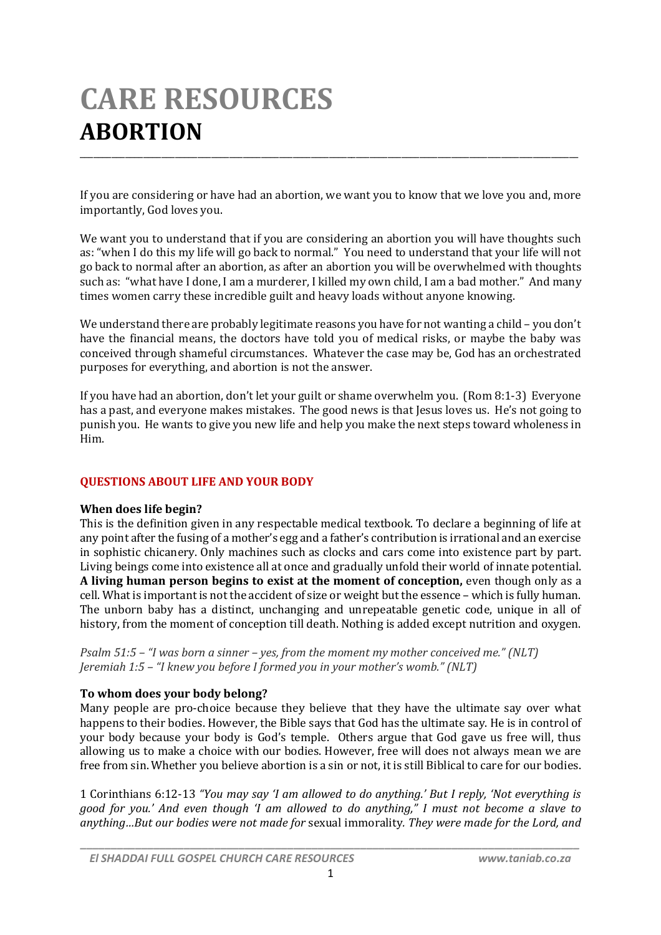# **CARE RESOURCES ABORTION** \_\_\_\_\_\_\_\_\_\_\_\_\_\_\_\_\_\_\_\_\_\_\_\_\_\_\_\_\_\_\_\_\_\_\_\_\_\_\_\_\_\_\_\_\_\_\_\_\_\_\_\_\_\_\_\_\_\_\_\_\_\_\_\_\_\_\_\_\_\_\_\_\_\_\_\_\_\_\_\_\_\_\_\_\_\_\_\_\_\_\_\_\_\_\_\_\_\_\_\_\_\_\_\_\_\_\_\_\_\_

If you are considering or have had an abortion, we want you to know that we love you and, more importantly, God loves you.

We want you to understand that if you are considering an abortion you will have thoughts such as: "when I do this my life will go back to normal." You need to understand that your life will not go back to normal after an abortion, as after an abortion you will be overwhelmed with thoughts such as: "what have I done, I am a murderer, I killed my own child, I am a bad mother." And many times women carry these incredible guilt and heavy loads without anyone knowing.

We understand there are probably legitimate reasons you have for not wanting a child – you don't have the financial means, the doctors have told you of medical risks, or maybe the baby was conceived through shameful circumstances. Whatever the case may be, God has an orchestrated purposes for everything, and abortion is not the answer.

If you have had an abortion, don't let your guilt or shame overwhelm you. (Rom 8:1-3) Everyone has a past, and everyone makes mistakes. The good news is that Jesus loves us. He's not going to punish you. He wants to give you new life and help you make the next steps toward wholeness in Him.

## **QUESTIONS ABOUT LIFE AND YOUR BODY**

## **When does life begin?**

This is the definition given in any respectable medical textbook. To declare a beginning of life at any point after the fusing of a mother's egg and a father's contribution is irrational and an exercise in sophistic chicanery. Only machines such as clocks and cars come into existence part by part. Living beings come into existence all at once and gradually unfold their world of innate potential. **A living human person begins to exist at the moment of conception,** even though only as a cell. What is important is not the accident of size or weight but the essence – which is fully human. The unborn baby has a distinct, unchanging and unrepeatable genetic code, unique in all of history, from the moment of conception till death. Nothing is added except nutrition and oxygen.

*Psalm 51:5 – "I was born a sinner – yes, from the moment my mother conceived me." (NLT) Jeremiah 1:5 – "I knew you before I formed you in your mother's womb." (NLT)*

## **To whom does your body belong?**

Many people are pro-choice because they believe that they have the ultimate say over what happens to their bodies. However, the Bible says that God has the ultimate say. He is in control of your body because your body is God's temple. Others argue that God gave us free will, thus allowing us to make a choice with our bodies. However, free will does not always mean we are free from sin. Whether you believe abortion is a sin or not, it is still Biblical to care for our bodies.

1 Corinthians 6:12-13 *"You may say 'I am allowed to do anything.' But I reply, 'Not everything is good for you.' And even though 'I am allowed to do anything," I must not become a slave to anything…But our bodies were not made for* sexual immorality*. They were made for the Lord, and*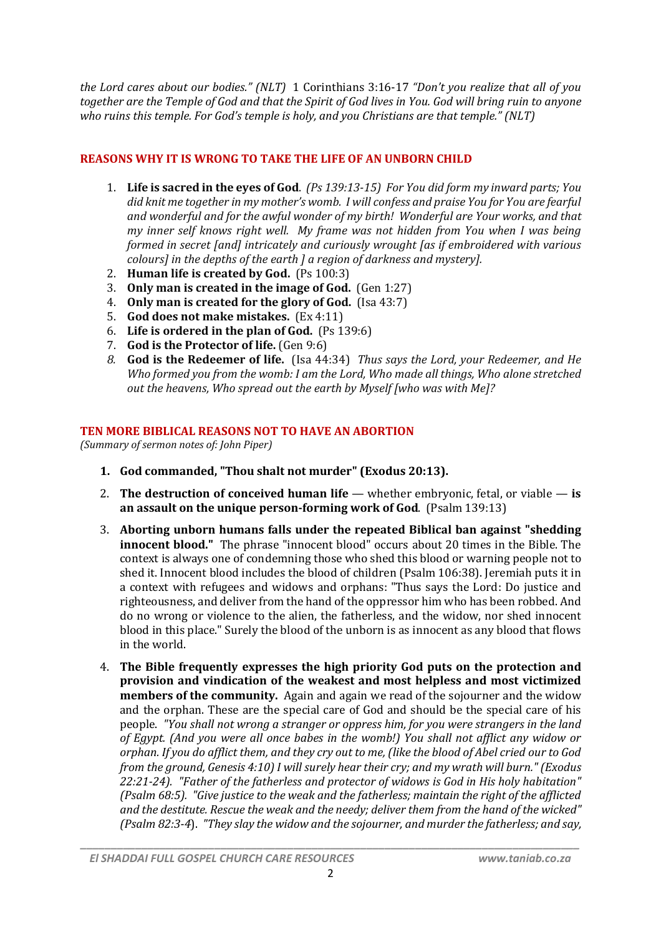*the Lord cares about our bodies." (NLT)* 1 Corinthians 3:16-17 *"Don't you realize that all of you together are the Temple of God and that the Spirit of God lives in You. God will bring ruin to anyone who ruins this temple. For God's temple is holy, and you Christians are that temple." (NLT)*

# **REASONS WHY IT IS WRONG TO TAKE THE LIFE OF AN UNBORN CHILD**

- 1. **Life is sacred in the eyes of God**. *(Ps 139:13-15) For You did form my inward parts; You did knit me together in my mother's womb. I will confess and praise You for You are fearful and wonderful and for the awful wonder of my birth! Wonderful are Your works, and that my inner self knows right well. My frame was not hidden from You when I was being formed in secret [and] intricately and curiously wrought [as if embroidered with various colours] in the depths of the earth ] a region of darkness and mystery].*
- 2. **Human life is created by God.** (Ps 100:3)
- 3. **Only man is created in the image of God.** (Gen 1:27)
- 4. **Only man is created for the glory of God.** (Isa 43:7)
- 5. **God does not make mistakes.** (Ex 4:11)
- 6. **Life is ordered in the plan of God.** (Ps 139:6)
- 7. **God is the Protector of life.** (Gen 9:6)
- *8.* **God is the Redeemer of life.** (Isa 44:34) *Thus says the Lord, your Redeemer, and He Who formed you from the womb: I am the Lord, Who made all things, Who alone stretched out the heavens, Who spread out the earth by Myself [who was with Me]?*

## **TEN MORE BIBLICAL REASONS NOT TO HAVE AN ABORTION**

*(Summary of sermon notes of: John Piper)*

- **1. God commanded, "Thou shalt not murder" (Exodus 20:13).**
- 2. **The destruction of conceived human life** whether embryonic, fetal, or viable is **an assault on the unique person-forming work of God**. (Psalm 139:13)
- 3. **Aborting unborn humans falls under the repeated Biblical ban against "shedding innocent blood."** The phrase "innocent blood" occurs about 20 times in the Bible. The context is always one of condemning those who shed this blood or warning people not to shed it. Innocent blood includes the blood of children (Psalm 106:38). Jeremiah puts it in a context with refugees and widows and orphans: "Thus says the Lord: Do justice and righteousness, and deliver from the hand of the oppressor him who has been robbed. And do no wrong or violence to the alien, the fatherless, and the widow, nor shed innocent blood in this place." Surely the blood of the unborn is as innocent as any blood that flows in the world.
- 4. **The Bible frequently expresses the high priority God puts on the protection and provision and vindication of the weakest and most helpless and most victimized members of the community.** Again and again we read of the sojourner and the widow and the orphan. These are the special care of God and should be the special care of his people. *"You shall not wrong a stranger or oppress him, for you were strangers in the land of Egypt. (And you were all once babes in the womb!) You shall not afflict any widow or orphan. If you do afflict them, and they cry out to me, (like the blood of Abel cried our to God from the ground, Genesis 4:10) I will surely hear their cry; and my wrath will burn." (Exodus 22:21-24). "Father of the fatherless and protector of widows is God in His holy habitation" (Psalm 68:5). "Give justice to the weak and the fatherless; maintain the right of the afflicted and the destitute. Rescue the weak and the needy; deliver them from the hand of the wicked" (Psalm 82:3-4*). *"They slay the widow and the sojourner, and murder the fatherless; and say,*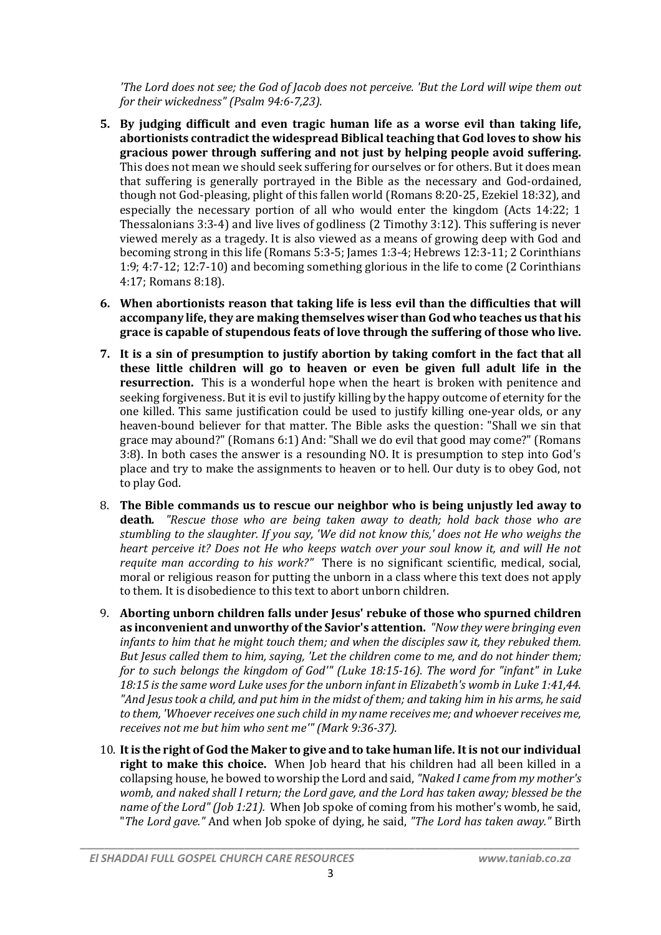*'The Lord does not see; the God of Jacob does not perceive. 'But the Lord will wipe them out for their wickedness" (Psalm 94:6-7,23).*

- **5. By judging difficult and even tragic human life as a worse evil than taking life, abortionists contradict the widespread Biblical teaching that God loves to show his gracious power through suffering and not just by helping people avoid suffering.**  This does not mean we should seek suffering for ourselves or for others. But it does mean that suffering is generally portrayed in the Bible as the necessary and God-ordained, though not God-pleasing, plight of this fallen world (Romans 8:20-25, Ezekiel 18:32), and especially the necessary portion of all who would enter the kingdom (Acts 14:22; 1 Thessalonians 3:3-4) and live lives of godliness (2 Timothy 3:12). This suffering is never viewed merely as a tragedy. It is also viewed as a means of growing deep with God and becoming strong in this life (Romans 5:3-5; James 1:3-4; Hebrews 12:3-11; 2 Corinthians 1:9; 4:7-12; 12:7-10) and becoming something glorious in the life to come (2 Corinthians 4:17; Romans 8:18).
- **6. When abortionists reason that taking life is less evil than the difficulties that will accompany life, they are making themselves wiser than God who teaches us that his grace is capable of stupendous feats of love through the suffering of those who live.**
- **7. It is a sin of presumption to justify abortion by taking comfort in the fact that all these little children will go to heaven or even be given full adult life in the resurrection.** This is a wonderful hope when the heart is broken with penitence and seeking forgiveness. But it is evil to justify killing by the happy outcome of eternity for the one killed. This same justification could be used to justify killing one-year olds, or any heaven-bound believer for that matter. The Bible asks the question: "Shall we sin that grace may abound?" (Romans 6:1) And: "Shall we do evil that good may come?" (Romans 3:8). In both cases the answer is a resounding NO. It is presumption to step into God's place and try to make the assignments to heaven or to hell. Our duty is to obey God, not to play God.
- 8. **The Bible commands us to rescue our neighbor who is being unjustly led away to death***. "Rescue those who are being taken away to death; hold back those who are stumbling to the slaughter. If you say, 'We did not know this,' does not He who weighs the heart perceive it? Does not He who keeps watch over your soul know it, and will He not requite man according to his work?"* There is no significant scientific, medical, social, moral or religious reason for putting the unborn in a class where this text does not apply to them. It is disobedience to this text to abort unborn children.
- 9. **Aborting unborn children falls under Jesus' rebuke of those who spurned children as inconvenient and unworthy of the Savior's attention.** *"Now they were bringing even infants to him that he might touch them; and when the disciples saw it, they rebuked them. But Jesus called them to him, saying, 'Let the children come to me, and do not hinder them; for to such belongs the kingdom of God'" (Luke 18:15-16). The word for "infant" in Luke 18:15 is the same word Luke uses for the unborn infant in Elizabeth's womb in Luke 1:41,44. "And Jesus took a child, and put him in the midst of them; and taking him in his arms, he said to them, 'Whoever receives one such child in my name receives me; and whoever receives me, receives not me but him who sent me'" (Mark 9:36-37).*
- 10. **It is the right of God the Maker to give and to take human life. It is not our individual right to make this choice.**When Job heard that his children had all been killed in a collapsing house, he bowed to worship the Lord and said, *"Naked I came from my mother's womb, and naked shall I return; the Lord gave, and the Lord has taken away; blessed be the name of the Lord" (Job 1:21).* When Job spoke of coming from his mother's womb, he said, "*The Lord gave."* And when Job spoke of dying, he said, *"The Lord has taken away."* Birth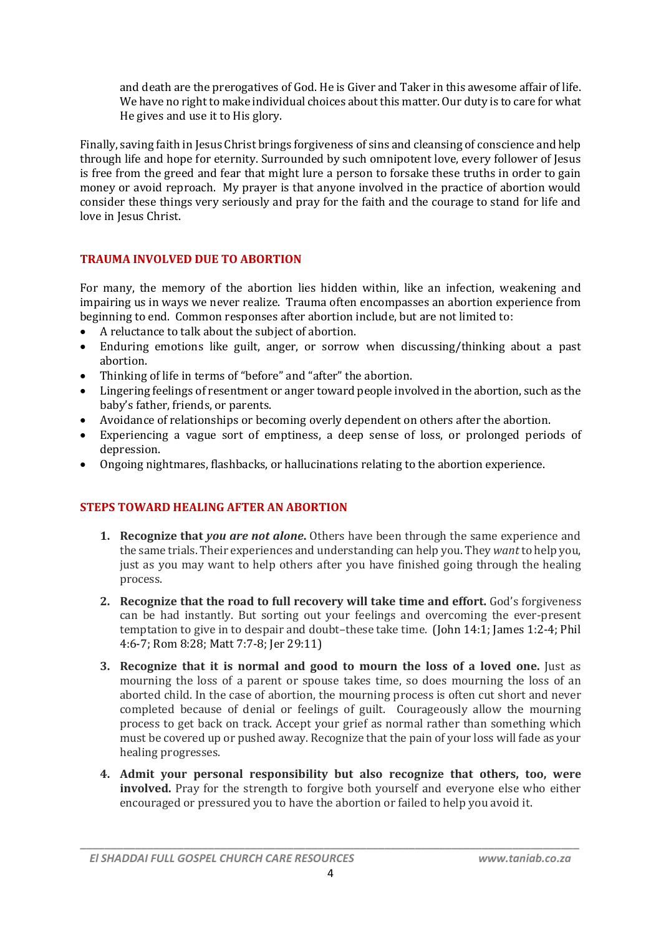and death are the prerogatives of God. He is Giver and Taker in this awesome affair of life. We have no right to make individual choices about this matter. Our duty is to care for what He gives and use it to His glory.

Finally, saving faith in Jesus Christ brings forgiveness of sins and cleansing of conscience and help through life and hope for eternity. Surrounded by such omnipotent love, every follower of Jesus is free from the greed and fear that might lure a person to forsake these truths in order to gain money or avoid reproach. My prayer is that anyone involved in the practice of abortion would consider these things very seriously and pray for the faith and the courage to stand for life and love in Jesus Christ.

## **TRAUMA INVOLVED DUE TO ABORTION**

For many, the memory of the abortion lies hidden within, like an infection, weakening and impairing us in ways we never realize. Trauma often encompasses an abortion experience from beginning to end. Common responses after abortion include, but are not limited to:

- A reluctance to talk about the subject of abortion.
- Enduring emotions like guilt, anger, or sorrow when discussing/thinking about a past abortion.
- Thinking of life in terms of "before" and "after" the abortion.
- Lingering feelings of resentment or anger toward people involved in the abortion, such as the baby's father, friends, or parents.
- Avoidance of relationships or becoming overly dependent on others after the abortion.
- Experiencing a vague sort of emptiness, a deep sense of loss, or prolonged periods of depression.
- Ongoing nightmares, flashbacks, or hallucinations relating to the abortion experience.

## **STEPS TOWARD HEALING AFTER AN ABORTION**

- **1. Recognize that** *you are not alone***.** Others have been through the same experience and the same trials. Their experiences and understanding can help you. They *want* to help you, just as you may want to help others after you have finished going through the healing process.
- **2. Recognize that the road to full recovery will take time and effort.** God's forgiveness can be had instantly. But sorting out your feelings and overcoming the ever-present temptation to give in to despair and doubt–these take time. (John 14:1; James 1:2-4; Phil 4:6-7; Rom 8:28; Matt 7:7-8; Jer 29:11)
- **3. Recognize that it is normal and good to mourn the loss of a loved one.** Just as mourning the loss of a parent or spouse takes time, so does mourning the loss of an aborted child. In the case of abortion, the mourning process is often cut short and never completed because of denial or feelings of guilt. Courageously allow the mourning process to get back on track. Accept your grief as normal rather than something which must be covered up or pushed away. Recognize that the pain of your loss will fade as your healing progresses.
- **4. Admit your personal responsibility but also recognize that others, too, were involved.** Pray for the strength to forgive both yourself and everyone else who either encouraged or pressured you to have the abortion or failed to help you avoid it.